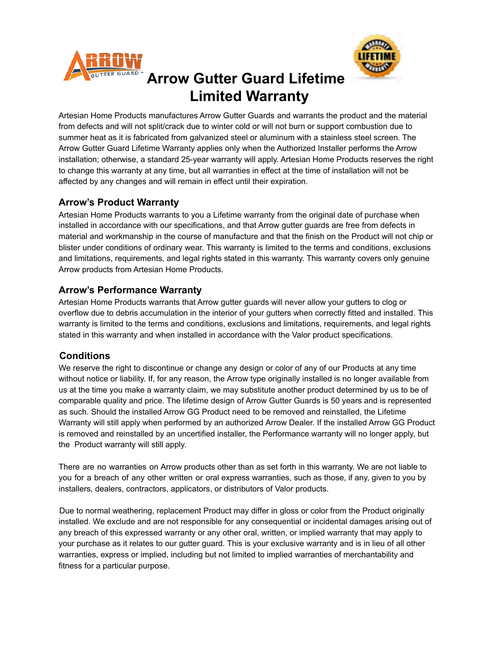



# **Arrow Gutter Guard Lifetime Limited Warranty**

Artesian Home Products manufactures Arrow Gutter Guards and warrants the product and the material from defects and will not split/crack due to winter cold or will not burn or support combustion due to summer heat as it is fabricated from galvanized steel or aluminum with a stainless steel screen. The Arrow Gutter Guard Lifetime Warranty applies only when the Authorized Installer performs the Arrow installation; otherwise, a standard 25-year warranty will apply. Artesian Home Products reserves the right to change this warranty at any time, but all warranties in effect at the time of installation will not be affected by any changes and will remain in effect until their expiration.

### **Arrow's Product Warranty**

Artesian Home Products warrants to you a Lifetime warranty from the original date of purchase when installed in accordance with our specifications, and that Arrow gutter guards are free from defects in material and workmanship in the course of manufacture and that the finish on the Product will not chip or blister under conditions of ordinary wear. This warranty is limited to the terms and conditions, exclusions and limitations, requirements, and legal rights stated in this warranty. This warranty covers only genuine Arrow products from Artesian Home Products.

### **Arrow's Performance Warranty**

Artesian Home Products warrants that Arrow gutter guards will never allow your gutters to clog or overflow due to debris accumulation in the interior of your gutters when correctly fitted and installed. This warranty is limited to the terms and conditions, exclusions and limitations, requirements, and legal rights stated in this warranty and when installed in accordance with the Valor product specifications.

## **Conditions**

We reserve the right to discontinue or change any design or color of any of our Products at any time without notice or liability. If, for any reason, the Arrow type originally installed is no longer available from us at the time you make a warranty claim, we may substitute another product determined by us to be of comparable quality and price. The lifetime design of Arrow Gutter Guards is 50 years and is represented as such. Should the installed Arrow GG Product need to be removed and reinstalled, the Lifetime Warranty will still apply when performed by an authorized Arrow Dealer. If the installed Arrow GG Product is removed and reinstalled by an uncertified installer, the Performance warranty will no longer apply, but the Product warranty will still apply.

There are no warranties on Arrow products other than as set forth in this warranty. We are not liable to you for a breach of any other written or oral express warranties, such as those, if any, given to you by installers, dealers, contractors, applicators, or distributors of Valor products.

Due to normal weathering, replacement Product may differ in gloss or color from the Product originally installed. We exclude and are not responsible for any consequential or incidental damages arising out of any breach of this expressed warranty or any other oral, written, or implied warranty that may apply to your purchase as it relates to our gutter guard. This is your exclusive warranty and is in lieu of all other warranties, express or implied, including but not limited to implied warranties of merchantability and fitness for a particular purpose.